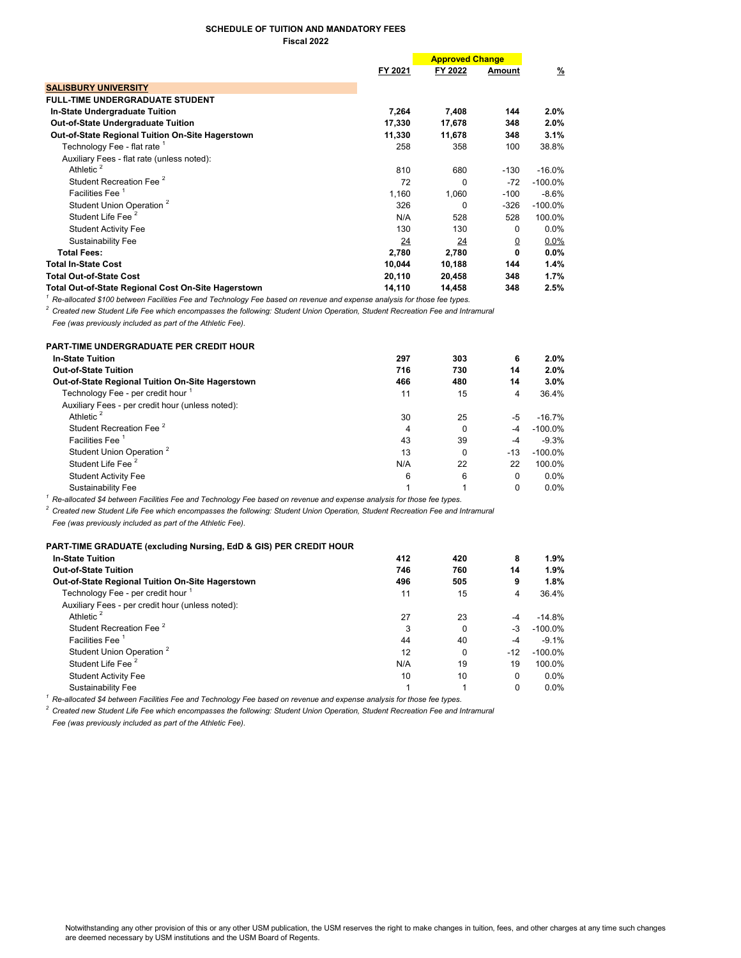## SCHEDULE OF TUITION AND MANDATORY FEES Fiscal 2022

|                                                                                                                                    |         | <b>Approved Change</b> |          |            |  |
|------------------------------------------------------------------------------------------------------------------------------------|---------|------------------------|----------|------------|--|
|                                                                                                                                    | FY 2021 | FY 2022                | Amount   | %          |  |
| <b>SALISBURY UNIVERSITY</b>                                                                                                        |         |                        |          |            |  |
| <b>FULL-TIME UNDERGRADUATE STUDENT</b>                                                                                             |         |                        |          |            |  |
| <b>In-State Undergraduate Tuition</b>                                                                                              | 7,264   | 7,408                  | 144      | $2.0\%$    |  |
| <b>Out-of-State Undergraduate Tuition</b>                                                                                          | 17,330  | 17,678                 | 348      | $2.0\%$    |  |
| <b>Out-of-State Regional Tuition On-Site Hagerstown</b>                                                                            | 11,330  | 11,678                 | 348      | 3.1%       |  |
| Technology Fee - flat rate 1                                                                                                       | 258     | 358                    | 100      | 38.8%      |  |
| Auxiliary Fees - flat rate (unless noted):                                                                                         |         |                        |          |            |  |
| Athletic <sup>2</sup>                                                                                                              | 810     | 680                    | $-130$   | $-16.0%$   |  |
| Student Recreation Fee <sup>2</sup>                                                                                                | 72      | <sup>0</sup>           | $-72$    | $-100.0\%$ |  |
| Facilities Fee <sup>1</sup>                                                                                                        | 1.160   | 1,060                  | $-100$   | $-8.6%$    |  |
| Student Union Operation <sup>2</sup>                                                                                               | 326     | 0                      | $-326$   | $-100.0%$  |  |
| Student Life Fee <sup>2</sup>                                                                                                      | N/A     | 528                    | 528      | 100.0%     |  |
| <b>Student Activity Fee</b>                                                                                                        | 130     | 130                    | 0        | $0.0\%$    |  |
| Sustainability Fee                                                                                                                 | 24      | 24                     | <u>0</u> | $0.0\%$    |  |
| <b>Total Fees:</b>                                                                                                                 | 2,780   | 2,780                  | 0        | $0.0\%$    |  |
| <b>Total In-State Cost</b>                                                                                                         | 10,044  | 10,188                 | 144      | 1.4%       |  |
| <b>Total Out-of-State Cost</b>                                                                                                     | 20,110  | 20,458                 | 348      | 1.7%       |  |
| Total Out-of-State Regional Cost On-Site Hagerstown                                                                                | 14,110  | 14,458                 | 348      | 2.5%       |  |
| $^{\rm 1}$ Re-allocated \$100 between Facilities Fee and Technology Fee based on revenue and expense analysis for those fee types. |         |                        |          |            |  |

 $^2$  Created new Student Life Fee which encompasses the following: Student Union Operation, Student Recreation Fee and Intramural

Fee (was previously included as part of the Athletic Fee).

| <b>PART-TIME UNDERGRADUATE PER CREDIT HOUR</b>          |     |     |       |            |
|---------------------------------------------------------|-----|-----|-------|------------|
| <b>In-State Tuition</b>                                 | 297 | 303 | 6     | 2.0%       |
| <b>Out-of-State Tuition</b>                             | 716 | 730 | 14    | 2.0%       |
| <b>Out-of-State Regional Tuition On-Site Hagerstown</b> | 466 | 480 | 14    | $3.0\%$    |
| Technology Fee - per credit hour 1                      | 11  | 15  | 4     | 36.4%      |
| Auxiliary Fees - per credit hour (unless noted):        |     |     |       |            |
| Athletic <sup>2</sup>                                   | 30  | 25  | $-5$  | $-16.7\%$  |
| Student Recreation Fee <sup>2</sup>                     | 4   | 0   | $-4$  | $-100.0\%$ |
| <b>Facilities Fee</b>                                   | 43  | 39  | $-4$  | $-9.3%$    |
| Student Union Operation <sup>2</sup>                    | 13  | 0   | $-13$ | $-100.0\%$ |
| Student Life Fee 2                                      | N/A | 22  | 22    | 100.0%     |
| <b>Student Activity Fee</b>                             | 6   | 6   | 0     | $0.0\%$    |
| Sustainability Fee                                      |     |     | 0     | $0.0\%$    |

 $^{\rm 1}$  Re-allocated \$4 between Facilities Fee and Technology Fee based on revenue and expense analysis for those fee types.

 $^2$  Created new Student Life Fee which encompasses the following: Student Union Operation, Student Recreation Fee and Intramural

Fee (was previously included as part of the Athletic Fee).

| <b>PART-TIME GRADUATE (excluding Nursing, EdD &amp; GIS) PER CREDIT HOUR</b> |     |          |          |            |
|------------------------------------------------------------------------------|-----|----------|----------|------------|
| <b>In-State Tuition</b>                                                      | 412 | 420      | 8        | 1.9%       |
| <b>Out-of-State Tuition</b>                                                  | 746 | 760      | 14       | 1.9%       |
| Out-of-State Regional Tuition On-Site Hagerstown                             | 496 | 505      | 9        | 1.8%       |
| Technology Fee - per credit hour                                             | 11  | 15       | 4        | 36.4%      |
| Auxiliary Fees - per credit hour (unless noted):                             |     |          |          |            |
| Athletic <sup>2</sup>                                                        | 27  | 23       | $-4$     | -14.8%     |
| Student Recreation Fee <sup>2</sup>                                          | 3   | 0        | -3       | $-100.0\%$ |
| Facilities Fee                                                               | 44  | 40       | -4       | $-9.1\%$   |
| Student Union Operation <sup>2</sup>                                         | 12  | $\Omega$ | $-12$    | $-100.0\%$ |
| Student Life Fee <sup>2</sup>                                                | N/A | 19       | 19       | 100.0%     |
| <b>Student Activity Fee</b>                                                  | 10  | 10       | $\Omega$ | $0.0\%$    |
| Sustainability Fee                                                           |     |          | $\Omega$ | $0.0\%$    |

 $^1$  Re-allocated \$4 between Facilities Fee and Technology Fee based on revenue and expense analysis for those fee types.

 $^2$  Created new Student Life Fee which encompasses the following: Student Union Operation, Student Recreation Fee and Intramural

Fee (was previously included as part of the Athletic Fee).